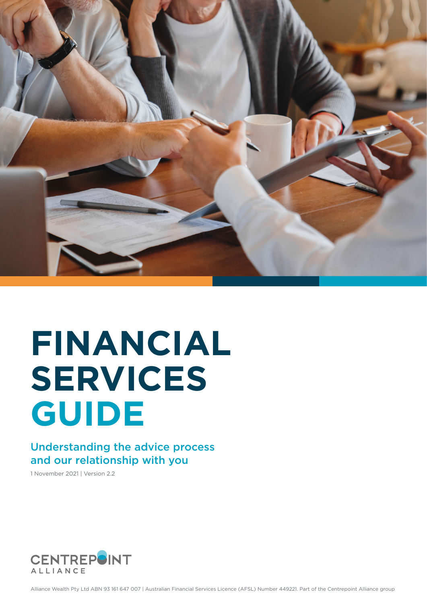

# **FINANCIAL SERVICES GUIDE**

#### Understanding the advice process and our relationship with you

1 November 2021 | Version 2.2

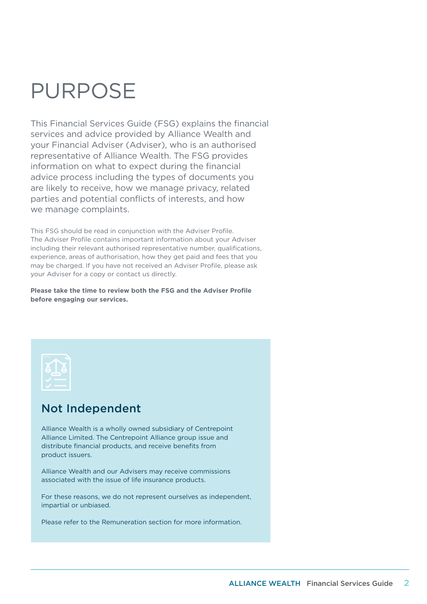## PURPOSE

This Financial Services Guide (FSG) explains the financial services and advice provided by Alliance Wealth and your Financial Adviser (Adviser), who is an authorised representative of Alliance Wealth. The FSG provides information on what to expect during the financial advice process including the types of documents you are likely to receive, how we manage privacy, related parties and potential conflicts of interests, and how we manage complaints.

This FSG should be read in conjunction with the Adviser Profile. The Adviser Profile contains important information about your Adviser including their relevant authorised representative number, qualifications, experience, areas of authorisation, how they get paid and fees that you may be charged. If you have not received an Adviser Profile, please ask your Adviser for a copy or contact us directly.

**Please take the time to review both the FSG and the Adviser Profile before engaging our services.**



### Not Independent

Alliance Wealth is a wholly owned subsidiary of Centrepoint Alliance Limited. The Centrepoint Alliance group issue and distribute financial products, and receive benefits from product issuers.

Alliance Wealth and our Advisers may receive commissions associated with the issue of life insurance products.

For these reasons, we do not represent ourselves as independent, impartial or unbiased.

Please refer to the Remuneration section for more information.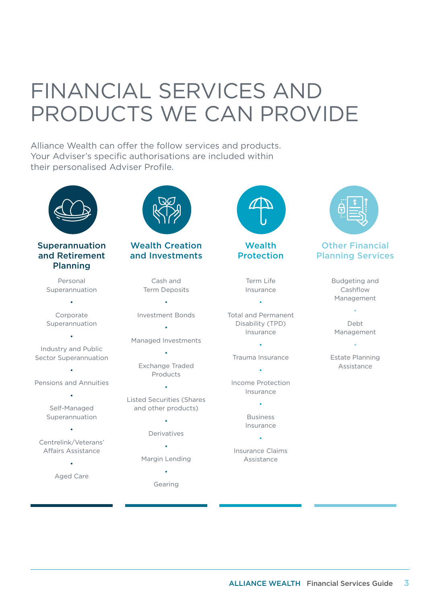# FINANCIAL SERVICES AND PRODUCTS WE CAN PROVIDE

Alliance Wealth can offer the follow services and products. Your Adviser's specific authorisations are included within their personalised Adviser Profile.





**Wealth** Protection

> Term Life Insurance

Total and Permanent Disability (TPD) Insurance

•

• Trauma Insurance

•

Income Protection Insurance

> • Business Insurance

• Insurance Claims Assistance



#### Other Financial Planning Services

Budgeting and Cashflow Management

Debt Management

•

Estate Planning Assistance

•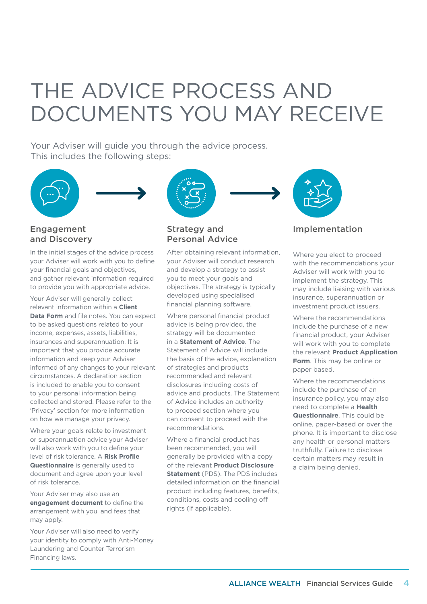# THE ADVICE PROCESS AND DOCUMENTS YOU MAY RECEIVE

Your Adviser will quide you through the advice process. This includes the following steps:





#### Engagement and Discovery

In the initial stages of the advice process your Adviser will work with you to define your financial goals and objectives, and gather relevant information required to provide you with appropriate advice.

Your Adviser will generally collect relevant information within a **Client Data Form** and file notes. You can expect to be asked questions related to your income, expenses, assets, liabilities, insurances and superannuation. It is important that you provide accurate information and keep your Adviser informed of any changes to your relevant circumstances. A declaration section is included to enable you to consent to your personal information being collected and stored. Please refer to the 'Privacy' section for more information on how we manage your privacy.

Where your goals relate to investment or superannuation advice your Adviser will also work with you to define your level of risk tolerance. A **Risk Profile Questionnaire** is generally used to document and agree upon your level of risk tolerance.

Your Adviser may also use an **engagement document** to define the arrangement with you, and fees that may apply.

Your Adviser will also need to verify your identity to comply with Anti-Money Laundering and Counter Terrorism Financing laws.



#### Strategy and Personal Advice

After obtaining relevant information, your Adviser will conduct research and develop a strategy to assist you to meet your goals and objectives. The strategy is typically developed using specialised financial planning software.

Where personal financial product advice is being provided, the strategy will be documented in a **Statement of Advice**. The Statement of Advice will include the basis of the advice, explanation of strategies and products recommended and relevant disclosures including costs of advice and products. The Statement of Advice includes an authority to proceed section where you can consent to proceed with the recommendations.

Where a financial product has been recommended, you will generally be provided with a copy of the relevant **Product Disclosure Statement** (PDS). The PDS includes detailed information on the financial product including features, benefits, conditions, costs and cooling off rights (if applicable).



#### Implementation

Where you elect to proceed with the recommendations your Adviser will work with you to implement the strategy. This may include liaising with various insurance, superannuation or investment product issuers.

Where the recommendations include the purchase of a new financial product, your Adviser will work with you to complete the relevant **Product Application Form**. This may be online or paper based.

Where the recommendations include the purchase of an insurance policy, you may also need to complete a **Health Questionnaire**. This could be online, paper-based or over the phone. It is important to disclose any health or personal matters truthfully. Failure to disclose certain matters may result in a claim being denied.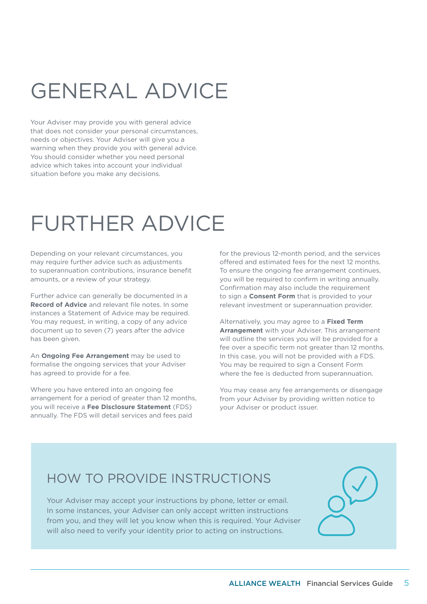# GENERAL ADVICE

Your Adviser may provide you with general advice that does not consider your personal circumstances, needs or objectives. Your Adviser will give you a warning when they provide you with general advice. You should consider whether you need personal advice which takes into account your individual situation before you make any decisions.

# FURTHER ADVICE

Depending on your relevant circumstances, you may require further advice such as adjustments to superannuation contributions, insurance benefit amounts, or a review of your strategy.

Further advice can generally be documented in a **Record of Advice** and relevant file notes. In some instances a Statement of Advice may be required. You may request, in writing, a copy of any advice document up to seven (7) years after the advice has been given.

An **Ongoing Fee Arrangement** may be used to formalise the ongoing services that your Adviser has agreed to provide for a fee.

Where you have entered into an ongoing fee arrangement for a period of greater than 12 months, you will receive a **Fee Disclosure Statement** (FDS) annually. The FDS will detail services and fees paid

for the previous 12-month period, and the services offered and estimated fees for the next 12 months. To ensure the ongoing fee arrangement continues, you will be required to confirm in writing annually. Confirmation may also include the requirement to sign a **Consent Form** that is provided to your relevant investment or superannuation provider.

Alternatively, you may agree to a **Fixed Term Arrangement** with your Adviser. This arrangement will outline the services you will be provided for a fee over a specific term not greater than 12 months. In this case, you will not be provided with a FDS. You may be required to sign a Consent Form where the fee is deducted from superannuation.

You may cease any fee arrangements or disengage from your Adviser by providing written notice to your Adviser or product issuer.

### HOW TO PROVIDE INSTRUCTIONS

Your Adviser may accept your instructions by phone, letter or email. In some instances, your Adviser can only accept written instructions from you, and they will let you know when this is required. Your Adviser will also need to verify your identity prior to acting on instructions.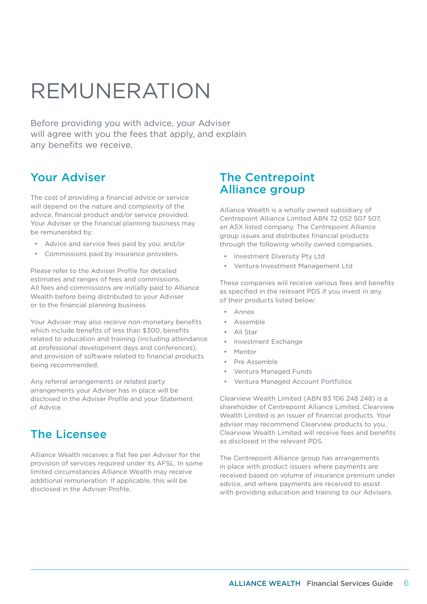# REMUNERATION

Before providing you with advice, your Adviser will agree with you the fees that apply, and explain any benefits we receive.

#### Your Adviser

The cost of providing a financial advice or service will depend on the nature and complexity of the advice, financial product and/or service provided. Your Adviser or the financial planning business may be remunerated by:

- Advice and service fees paid by you; and/or
- Commissions paid by insurance providers.

Please refer to the Adviser Profile for detailed estimates and ranges of fees and commissions. All fees and commissions are initially paid to Alliance Wealth before being distributed to your Adviser or to the financial planning business.

Your Adviser may also receive non-monetary benefits which include benefits of less than \$300, benefits related to education and training (including attendance at professional development days and conferences), and provision of software related to financial products being recommended.

Any referral arrangements or related party arrangements your Adviser has in place will be disclosed in the Adviser Profile and your Statement of Advice.

### The Licensee

Alliance Wealth receives a flat fee per Adviser for the provision of services required under its AFSL. In some limited circumstances Alliance Wealth may receive additional remuneration. If applicable, this will be disclosed in the Adviser Profile.

#### The Centrepoint Alliance group

Alliance Wealth is a wholly owned subsidiary of Centrepoint Alliance Limited ABN 72 052 507 507, an ASX listed company. The Centrepoint Alliance group issues and distributes financial products through the following wholly owned companies.

- Investment Diversity Pty Ltd
- Ventura Investment Management Ltd

These companies will receive various fees and benefits as specified in the relevant PDS if you invest in any of their products listed below:

- Annex
- **Assemble**
- All Star
- Investment Exchange
- Mentor
- Pre Assemble
- Ventura Managed Funds
- Ventura Managed Account Portfolios

Clearview Wealth Limited (ABN 83 106 248 248) is a shareholder of Centrepoint Alliance Limited. Clearview Wealth Limited is an issuer of financial products. Your adviser may recommend Clearview products to you. Clearview Wealth Limited will receive fees and benefits as disclosed in the relevant PDS.

The Centrepoint Alliance group has arrangements in place with product issuers where payments are received based on volume of insurance premium under advice, and where payments are received to assist with providing education and training to our Advisers.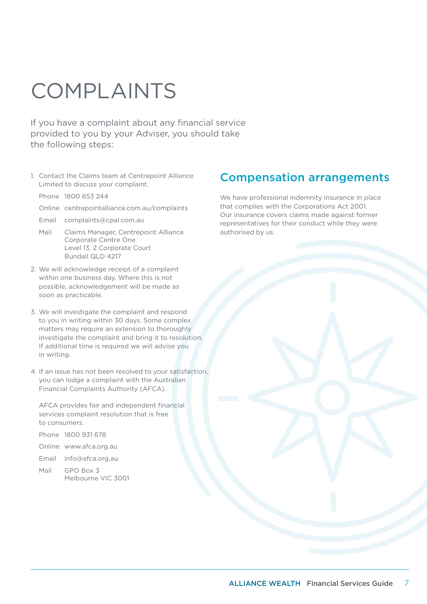# COMPLAINTS

If you have a complaint about any financial service provided to you by your Adviser, you should take the following steps:

- 1. Contact the Claims team at Centrepoint Alliance Limited to discuss your complaint.
	- Phone 1800 653 244
	- Online [centrepointalliance.com.au/complaints](http://centrepointalliance.com.au/complaints)
	- Email [complaints@cpal.com.au](mailto:complaints%40cpal.com.au?subject=)
	- Mail Claims Manager, Centrepoint Alliance Corporate Centre One Level 13, 2 Corporate Court Bundall QLD 4217
- 2. We will acknowledge receipt of a complaint within one business day. Where this is not possible, acknowledgement will be made as soon as practicable.
- 3. We will investigate the complaint and respond to you in writing within 30 days. Some complex matters may require an extension to thoroughly investigate the complaint and bring it to resolution. If additional time is required we will advise you in writing.
- 4. If an issue has not been resolved to your satisfaction, you can lodge a complaint with the Australian Financial Complaints Authority (AFCA).

 AFCA provides fair and independent financial services complaint resolution that is free to consumers.

| Phone 1800 931 678     |
|------------------------|
| Online www.afca.org.au |

- Email [info@afca.org.au](mailto:info%40afca.org.au?subject=)
- Mail GPO Box 3 Melbourne VIC 3001

#### Compensation arrangements

We have professional indemnity insurance in place that complies with the Corporations Act 2001. Our insurance covers claims made against former representatives for their conduct while they were authorised by us.